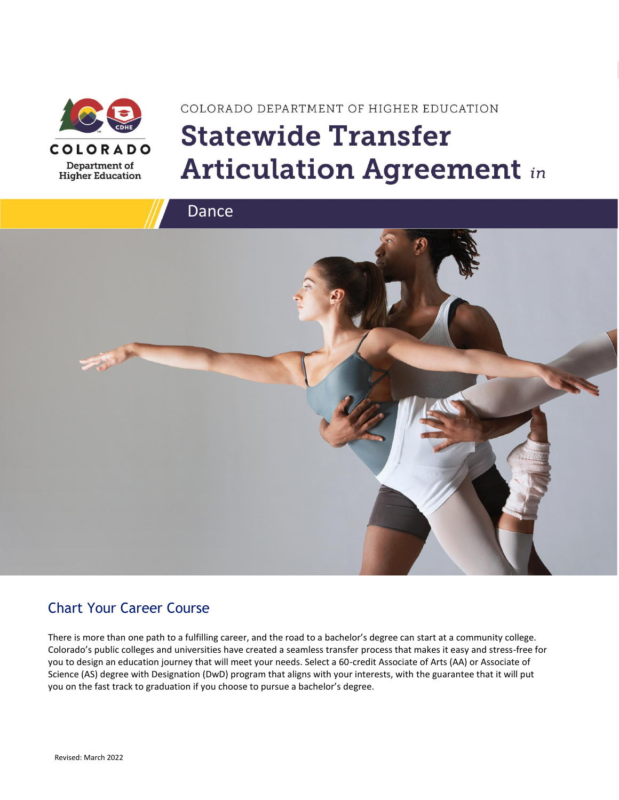

# COLORADO DEPARTMENT OF HIGHER EDUCATION **Statewide Transfer Articulation Agreement in**



### Chart Your Career Course

There is more than one path to a fulfilling career, and the road to a bachelor's degree can start at a community college. Colorado's public colleges and universities have created a seamless transfer process that makes it easy and stress-free for you to design an education journey that will meet your needs. Select a 60-credit Associate of Arts (AA) or Associate of Science (AS) degree with Designation (DwD) program that aligns with your interests, with the guarantee that it will put you on the fast track to graduation if you choose to pursue a bachelor's degree.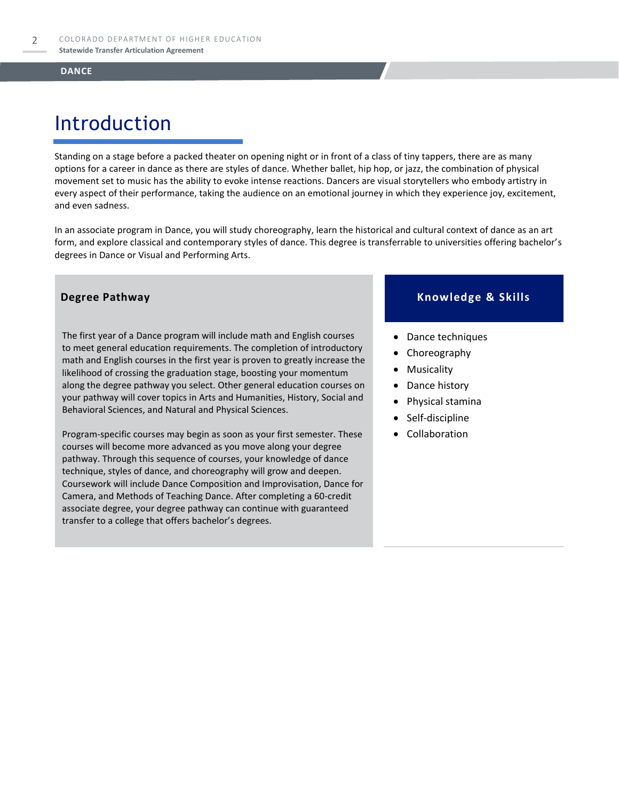# Introduction

Standing on a stage before a packed theater on opening night or in front of a class of tiny tappers, there are as many options for a career in dance as there are styles of dance. Whether ballet, hip hop, or jazz, the combination of physical movement set to music has the ability to evoke intense reactions. Dancers are visual storytellers who embody artistry in every aspect of their performance, taking the audience on an emotional journey in which they experience joy, excitement, and even sadness.

In an associate program in Dance, you will study choreography, learn the historical and cultural context of dance as an art form, and explore classical and contemporary styles of dance. This degree is transferrable to universities offering bachelor's degrees in Dance or Visual and Performing Arts.

The first year of a Dance program will include math and English courses to meet general education requirements. The completion of introductory math and English courses in the first year is proven to greatly increase the likelihood of crossing the graduation stage, boosting your momentum along the degree pathway you select. Other general education courses on your pathway will cover topics in Arts and Humanities, History, Social and Behavioral Sciences, and Natural and Physical Sciences.

Program-specific courses may begin as soon as your first semester. These courses will become more advanced as you move along your degree pathway. Through this sequence of courses, your knowledge of dance technique, styles of dance, and choreography will grow and deepen. Coursework will include Dance Composition and Improvisation, Dance for Camera, and Methods of Teaching Dance. After completing a 60-credit associate degree, your degree pathway can continue with guaranteed transfer to a college that offers bachelor's degrees.

### **Degree Pathway Knowledge & Skills**

- Dance techniques
- Choreography
- Musicality
- Dance history
- Physical stamina
- Self-discipline
- **Collaboration**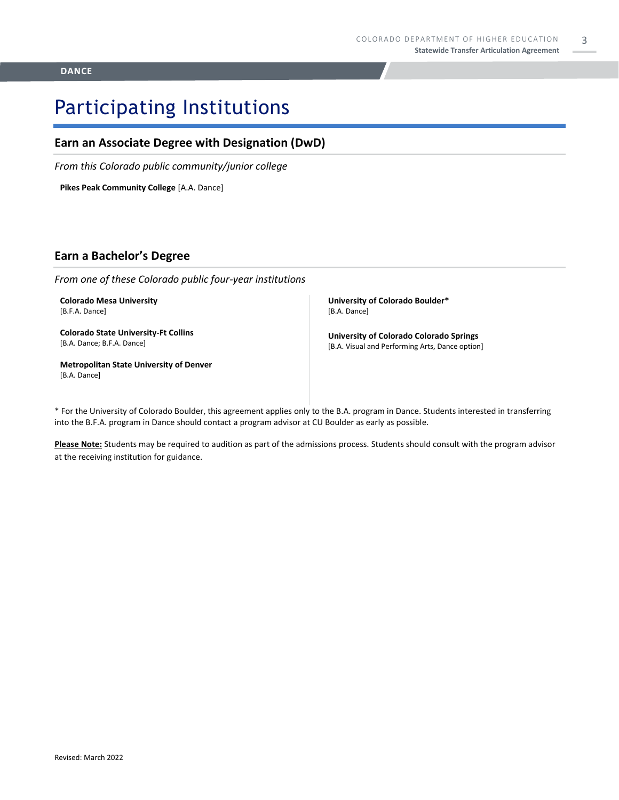3

# Participating Institutions

### **Earn an Associate Degree with Designation (DwD)**

*From this Colorado public community/junior college*

**Pikes Peak Community College** [A.A. Dance]

### **Earn a Bachelor's Degree**

*From one of these Colorado public four-year institutions*

**Colorado Mesa University**  [B.F.A. Dance]

**Colorado State University-Ft Collins**  [B.A. Dance; B.F.A. Dance]

**Metropolitan State University of Denver**  [B.A. Dance]

**University of Colorado Boulder\*** [B.A. Dance]

**University of Colorado Colorado Springs** [B.A. Visual and Performing Arts, Dance option]

\* For the University of Colorado Boulder, this agreement applies only to the B.A. program in Dance. Students interested in transferring into the B.F.A. program in Dance should contact a program advisor at CU Boulder as early as possible.

**Please Note:** Students may be required to audition as part of the admissions process. Students should consult with the program advisor at the receiving institution for guidance.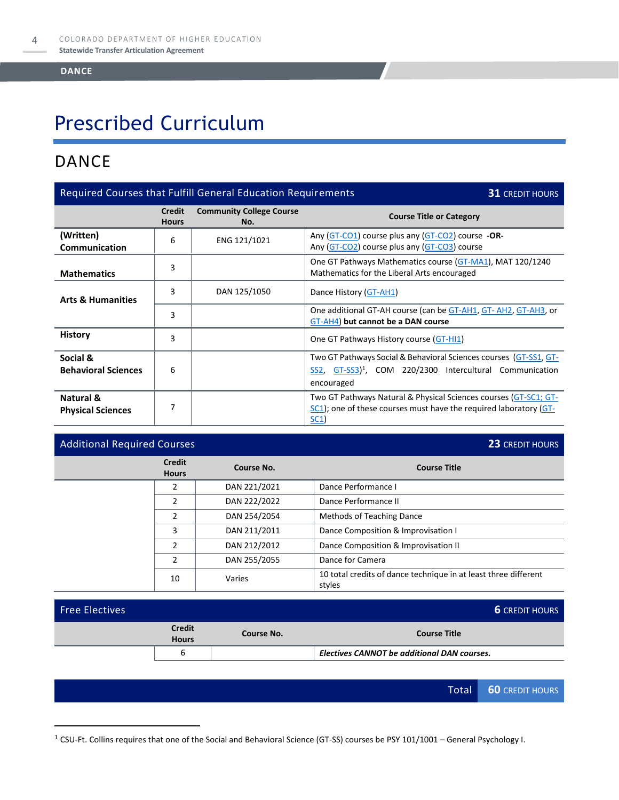# Prescribed Curriculum

### DANCE

| Required Courses that Fulfill General Education Requirements<br><b>31 CREDIT HOURS</b> |                               |                                        |                                                                                                                                                                       |  |
|----------------------------------------------------------------------------------------|-------------------------------|----------------------------------------|-----------------------------------------------------------------------------------------------------------------------------------------------------------------------|--|
|                                                                                        | <b>Credit</b><br><b>Hours</b> | <b>Community College Course</b><br>No. | <b>Course Title or Category</b>                                                                                                                                       |  |
| (Written)<br>Communication                                                             | 6                             | ENG 121/1021                           | Any (GT-CO1) course plus any (GT-CO2) course -OR-<br>Any (GT-CO2) course plus any (GT-CO3) course                                                                     |  |
| <b>Mathematics</b>                                                                     | 3                             |                                        | One GT Pathways Mathematics course (GT-MA1), MAT 120/1240<br>Mathematics for the Liberal Arts encouraged                                                              |  |
| <b>Arts &amp; Humanities</b>                                                           | 3                             | DAN 125/1050                           | Dance History (GT-AH1)                                                                                                                                                |  |
|                                                                                        | 3                             |                                        | One additional GT-AH course (can be GT-AH1, GT-AH2, GT-AH3, or<br>GT-AH4) but cannot be a DAN course                                                                  |  |
| <b>History</b>                                                                         | 3                             |                                        | One GT Pathways History course (GT-HI1)                                                                                                                               |  |
| Social &<br><b>Behavioral Sciences</b>                                                 | 6                             |                                        | Two GT Pathways Social & Behavioral Sciences courses (GT-SS1, GT-<br>GT-SS3) <sup>1</sup> , COM 220/2300 Intercultural Communication<br>SS <sub>2</sub><br>encouraged |  |
| Natural &<br><b>Physical Sciences</b>                                                  | 7                             |                                        | Two GT Pathways Natural & Physical Sciences courses (GT-SC1; GT-<br>$SC1$ ; one of these courses must have the required laboratory ( $GT$ -<br><u>SC1</u> )           |  |

### Additional Required Courses **23** CREDIT HOURS

| <b>Credit</b><br><b>Hours</b> | Course No.   | <b>Course Title</b>                                                       |
|-------------------------------|--------------|---------------------------------------------------------------------------|
| $\overline{2}$                | DAN 221/2021 | Dance Performance I                                                       |
| $\overline{2}$                | DAN 222/2022 | Dance Performance II                                                      |
| $\overline{2}$                | DAN 254/2054 | Methods of Teaching Dance                                                 |
| 3                             | DAN 211/2011 | Dance Composition & Improvisation I                                       |
| $\overline{2}$                | DAN 212/2012 | Dance Composition & Improvisation II                                      |
| $\mathfrak{p}$                | DAN 255/2055 | Dance for Camera                                                          |
| 10                            | Varies       | 10 total credits of dance technique in at least three different<br>styles |

|                               |            | <b>6</b> CREDIT HOURS                              |  |
|-------------------------------|------------|----------------------------------------------------|--|
| <b>Credit</b><br><b>Hours</b> | Course No. | <b>Course Title</b>                                |  |
|                               |            | <b>Electives CANNOT be additional DAN courses.</b> |  |
|                               |            |                                                    |  |

<sup>1</sup> CSU-Ft. Collins requires that one of the Social and Behavioral Science (GT-SS) courses be PSY 101/1001 – General Psychology I.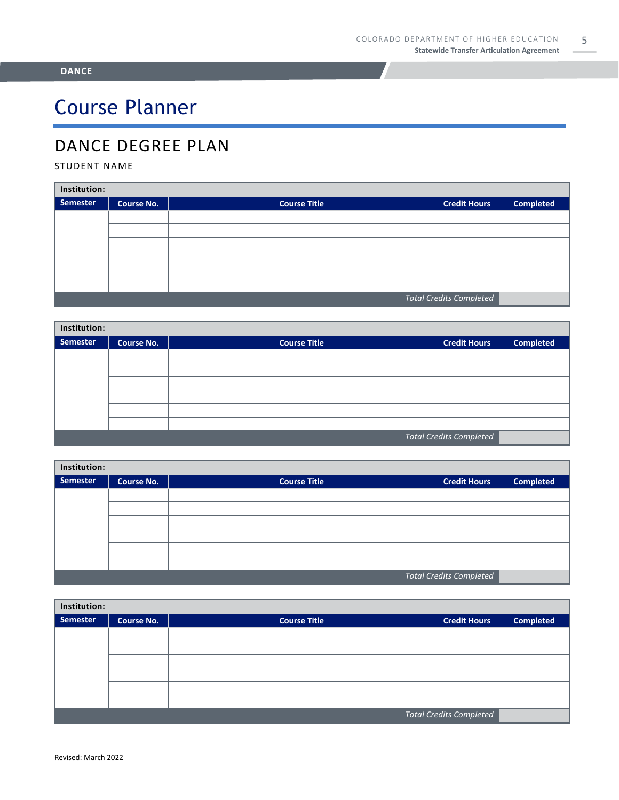# Course Planner

## DANCE DEGREE PLAN

### STUDENT NAME

| Institution:                   |            |                     |                     |                  |  |  |
|--------------------------------|------------|---------------------|---------------------|------------------|--|--|
| Semester                       | Course No. | <b>Course Title</b> | <b>Credit Hours</b> | <b>Completed</b> |  |  |
|                                |            |                     |                     |                  |  |  |
|                                |            |                     |                     |                  |  |  |
|                                |            |                     |                     |                  |  |  |
|                                |            |                     |                     |                  |  |  |
|                                |            |                     |                     |                  |  |  |
|                                |            |                     |                     |                  |  |  |
| <b>Total Credits Completed</b> |            |                     |                     |                  |  |  |

| Institution:                   |                   |                     |                     |                  |  |  |
|--------------------------------|-------------------|---------------------|---------------------|------------------|--|--|
| Semester                       | <b>Course No.</b> | <b>Course Title</b> | <b>Credit Hours</b> | <b>Completed</b> |  |  |
|                                |                   |                     |                     |                  |  |  |
|                                |                   |                     |                     |                  |  |  |
|                                |                   |                     |                     |                  |  |  |
|                                |                   |                     |                     |                  |  |  |
|                                |                   |                     |                     |                  |  |  |
|                                |                   |                     |                     |                  |  |  |
| <b>Total Credits Completed</b> |                   |                     |                     |                  |  |  |

| Institution:                   |                   |                     |  |                  |  |
|--------------------------------|-------------------|---------------------|--|------------------|--|
| <b>Semester</b>                | <b>Course No.</b> | <b>Course Title</b> |  | <b>Completed</b> |  |
|                                |                   |                     |  |                  |  |
|                                |                   |                     |  |                  |  |
|                                |                   |                     |  |                  |  |
|                                |                   |                     |  |                  |  |
|                                |                   |                     |  |                  |  |
|                                |                   |                     |  |                  |  |
| <b>Total Credits Completed</b> |                   |                     |  |                  |  |

| Institution: |                                |                     |                     |                  |  |
|--------------|--------------------------------|---------------------|---------------------|------------------|--|
| Semester     | <b>Course No.</b>              | <b>Course Title</b> | <b>Credit Hours</b> | <b>Completed</b> |  |
|              |                                |                     |                     |                  |  |
|              |                                |                     |                     |                  |  |
|              |                                |                     |                     |                  |  |
|              |                                |                     |                     |                  |  |
|              |                                |                     |                     |                  |  |
|              |                                |                     |                     |                  |  |
|              | <b>Total Credits Completed</b> |                     |                     |                  |  |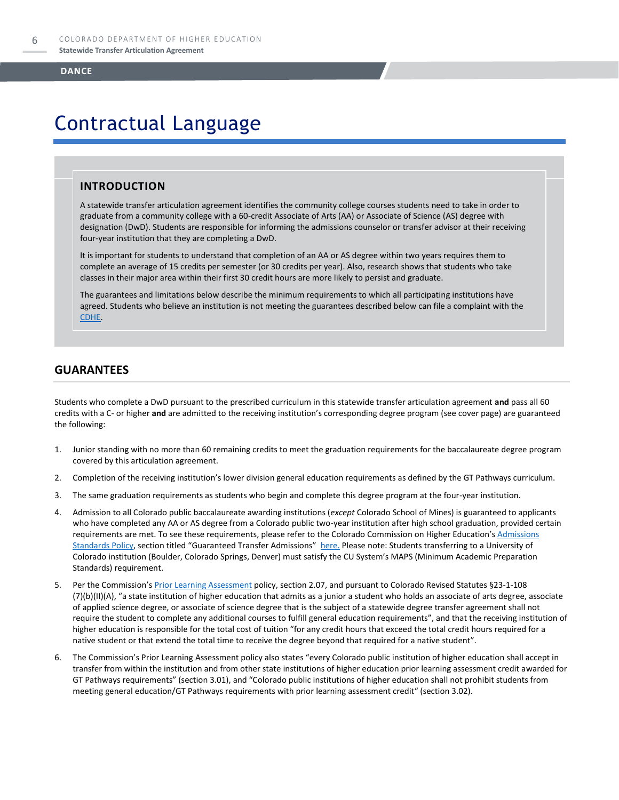# Contractual Language

### **INTRODUCTION**

A statewide transfer articulation agreement identifies the community college courses students need to take in order to graduate from a community college with a 60-credit Associate of Arts (AA) or Associate of Science (AS) degree with designation (DwD). Students are responsible for informing the admissions counselor or transfer advisor at their receiving four-year institution that they are completing a DwD.

It is important for students to understand that completion of an AA or AS degree within two years requires them to complete an average of 15 credits per semester (or 30 credits per year). Also, research shows that students who take classes in their major area within their first 30 credit hours are more likely to persist and graduate.

The guarantees and limitations below describe the minimum requirements to which all participating institutions have agreed. Students who believe an institution is not meeting the guarantees described below can file a complaint with the [CDHE.](https://highered.colorado.gov/filing-student-complaint)

### **GUARANTEES**

Students who complete a DwD pursuant to the prescribed curriculum in this statewide transfer articulation agreement **and** pass all 60 credits with a C- or higher **and** are admitted to the receiving institution's corresponding degree program (see cover page) are guaranteed the following:

- 1. Junior standing with no more than 60 remaining credits to meet the graduation requirements for the baccalaureate degree program covered by this articulation agreement.
- 2. Completion of the receiving institution's lower division general education requirements as defined by the GT Pathways curriculum.
- 3. The same graduation requirements as students who begin and complete this degree program at the four-year institution.
- 4. Admission to all Colorado public baccalaureate awarding institutions (*except* Colorado School of Mines) is guaranteed to applicants who have completed any AA or AS degree from a Colorado public two-year institution after high school graduation, provided certain requirements are met. To see these requirements, please refer to the Colorado Commission on Higher Education's Admissions [Standards Policy](https://highered.colorado.gov/sites/highered/files/2020-03/i-partf_0.pdf), section titled "Guaranteed Transfer Admissions" [here.](https://highered.colorado.gov/educators/policy-funding/cche-policies-procedures) Please note: Students transferring to a University of Colorado institution (Boulder, Colorado Springs, Denver) must satisfy the CU System's MAPS (Minimum Academic Preparation Standards) requirement.
- 5. Per the Commission's **[Prior Learning Assessment](https://highered.colorado.gov/sites/highered/files/2020-03/i-partx.pdf)** policy, section 2.07, and pursuant to Colorado Revised Statutes §23-1-108 (7)(b)(II)(A), "a state institution of higher education that admits as a junior a student who holds an associate of arts degree, associate of applied science degree, or associate of science degree that is the subject of a statewide degree transfer agreement shall not require the student to complete any additional courses to fulfill general education requirements", and that the receiving institution of higher education is responsible for the total cost of tuition "for any credit hours that exceed the total credit hours required for a native student or that extend the total time to receive the degree beyond that required for a native student".
- 6. The Commission's Prior Learning Assessment policy also states "every Colorado public institution of higher education shall accept in transfer from within the institution and from other state institutions of higher education prior learning assessment credit awarded for GT Pathways requirements" (section 3.01), and "Colorado public institutions of higher education shall not prohibit students from meeting general education/GT Pathways requirements with prior learning assessment credit" (section 3.02).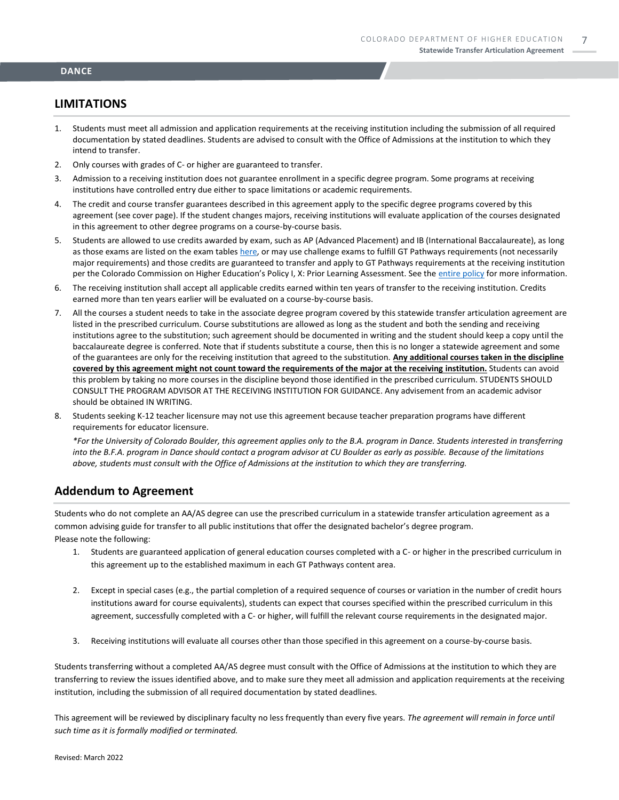### **LIMITATIONS**

- 1. Students must meet all admission and application requirements at the receiving institution including the submission of all required documentation by stated deadlines. Students are advised to consult with the Office of Admissions at the institution to which they intend to transfer.
- 2. Only courses with grades of C- or higher are guaranteed to transfer.
- 3. Admission to a receiving institution does not guarantee enrollment in a specific degree program. Some programs at receiving institutions have controlled entry due either to space limitations or academic requirements.
- 4. The credit and course transfer guarantees described in this agreement apply to the specific degree programs covered by this agreement (see cover page). If the student changes majors, receiving institutions will evaluate application of the courses designated in this agreement to other degree programs on a course-by-course basis.
- 5. Students are allowed to use credits awarded by exam, such as AP (Advanced Placement) and IB (International Baccalaureate), as long as those exams are listed on the exam table[s here,](https://highered.colorado.gov/get-credit-for-what-you-already-know) or may use challenge exams to fulfill GT Pathways requirements (not necessarily major requirements) and those credits are guaranteed to transfer and apply to GT Pathways requirements at the receiving institution per the Colorado Commission on Higher Education's Policy I, X: Prior Learning Assessment. See the [entire policy](https://highered.colorado.gov/sites/highered/files/2020-03/i-partx.pdf) for more information.
- 6. The receiving institution shall accept all applicable credits earned within ten years of transfer to the receiving institution. Credits earned more than ten years earlier will be evaluated on a course-by-course basis.
- 7. All the courses a student needs to take in the associate degree program covered by this statewide transfer articulation agreement are listed in the prescribed curriculum. Course substitutions are allowed as long as the student and both the sending and receiving institutions agree to the substitution; such agreement should be documented in writing and the student should keep a copy until the baccalaureate degree is conferred. Note that if students substitute a course, then this is no longer a statewide agreement and some of the guarantees are only for the receiving institution that agreed to the substitution. **Any additional courses taken in the discipline covered by this agreement might not count toward the requirements of the major at the receiving institution.** Students can avoid this problem by taking no more courses in the discipline beyond those identified in the prescribed curriculum. STUDENTS SHOULD CONSULT THE PROGRAM ADVISOR AT THE RECEIVING INSTITUTION FOR GUIDANCE. Any advisement from an academic advisor should be obtained IN WRITING.
- 8. Students seeking K-12 teacher licensure may not use this agreement because teacher preparation programs have different requirements for educator licensure.

*\*For the University of Colorado Boulder, this agreement applies only to the B.A. program in Dance. Students interested in transferring into the B.F.A. program in Dance should contact a program advisor at CU Boulder as early as possible. Because of the limitations above, students must consult with the Office of Admissions at the institution to which they are transferring.*

### **Addendum to Agreement**

Students who do not complete an AA/AS degree can use the prescribed curriculum in a statewide transfer articulation agreement as a common advising guide for transfer to all public institutions that offer the designated bachelor's degree program.

Please note the following:

- 1. Students are guaranteed application of general education courses completed with a C- or higher in the prescribed curriculum in this agreement up to the established maximum in each GT Pathways content area.
- 2. Except in special cases (e.g., the partial completion of a required sequence of courses or variation in the number of credit hours institutions award for course equivalents), students can expect that courses specified within the prescribed curriculum in this agreement, successfully completed with a C- or higher, will fulfill the relevant course requirements in the designated major.
- 3. Receiving institutions will evaluate all courses other than those specified in this agreement on a course-by-course basis.

Students transferring without a completed AA/AS degree must consult with the Office of Admissions at the institution to which they are transferring to review the issues identified above, and to make sure they meet all admission and application requirements at the receiving institution, including the submission of all required documentation by stated deadlines.

This agreement will be reviewed by disciplinary faculty no less frequently than every five years. *The agreement will remain in force until such time as it is formally modified or terminated.*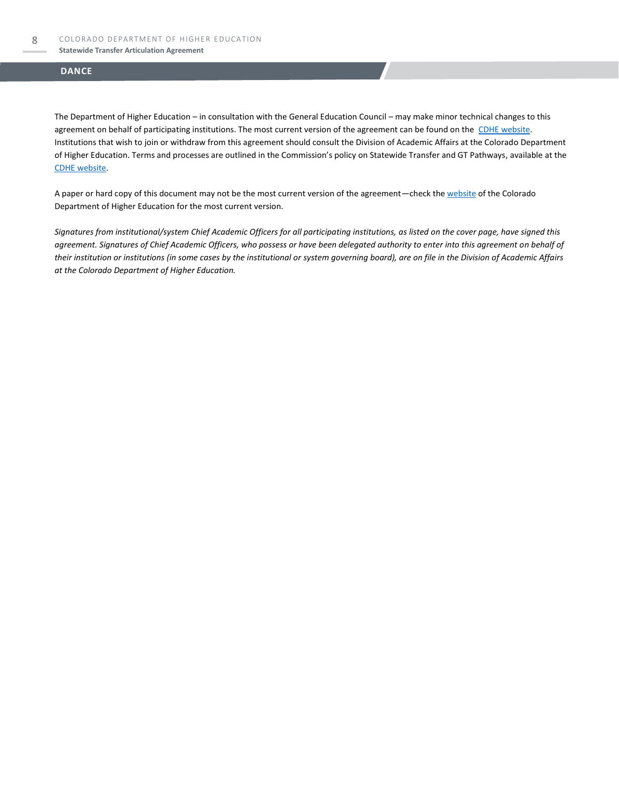#### **Statewide Transfer Articulation Agreement**

### **DANCE**

The Department of Higher Education – in consultation with the General Education Council – may make minor technical changes to this agreement on behalf of participating institutions. The most current version of the agreement can be found on the [CDHE website.](https://highered.colorado.gov/transfer-degrees) Institutions that wish to join or withdraw from this agreement should consult the Division of Academic Affairs at the Colorado Department of Higher Education. Terms and processes are outlined in the Commission's policy on Statewide Transfer and GT Pathways, available at the [CDHE website.](https://highered.colorado.gov/educators/policy-funding/general-education-ge-council/gtpathways/transfer-agreements)

A paper or hard copy of this document may not be the most current version of the agreement—check th[e website](https://highered.colorado.gov/transfer-degrees) of the Colorado Department of Higher Education for the most current version.

*Signatures from institutional/system Chief Academic Officers for all participating institutions, as listed on the cover page, have signed this agreement. Signatures of Chief Academic Officers, who possess or have been delegated authority to enter into this agreement on behalf of their institution or institutions (in some cases by the institutional or system governing board), are on file in the Division of Academic Affairs at the Colorado Department of Higher Education.*